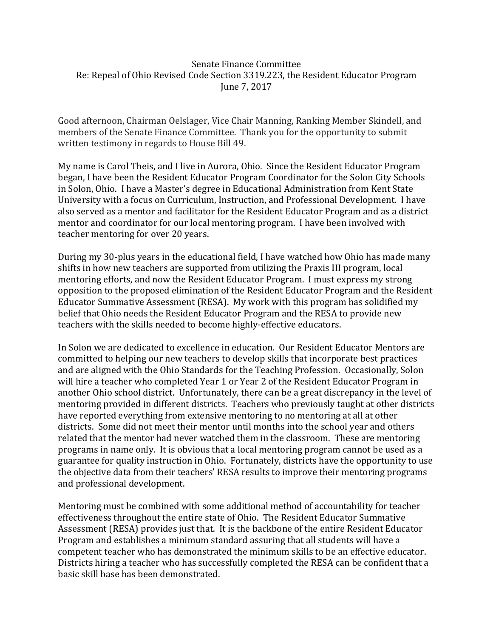## Senate Finance Committee Re: Repeal of Ohio Revised Code Section 3319.223, the Resident Educator Program June 7, 2017

Good afternoon, Chairman Oelslager, Vice Chair Manning, Ranking Member Skindell, and members of the Senate Finance Committee. Thank you for the opportunity to submit written testimony in regards to House Bill 49.

My name is Carol Theis, and I live in Aurora, Ohio. Since the Resident Educator Program began, I have been the Resident Educator Program Coordinator for the Solon City Schools in Solon, Ohio. I have a Master's degree in Educational Administration from Kent State University with a focus on Curriculum, Instruction, and Professional Development. I have also served as a mentor and facilitator for the Resident Educator Program and as a district mentor and coordinator for our local mentoring program. I have been involved with teacher mentoring for over 20 years.

During my 30-plus years in the educational field, I have watched how Ohio has made many shifts in how new teachers are supported from utilizing the Praxis III program, local mentoring efforts, and now the Resident Educator Program. I must express my strong opposition to the proposed elimination of the Resident Educator Program and the Resident Educator Summative Assessment (RESA). My work with this program has solidified my belief that Ohio needs the Resident Educator Program and the RESA to provide new teachers with the skills needed to become highly-effective educators.

In Solon we are dedicated to excellence in education. Our Resident Educator Mentors are committed to helping our new teachers to develop skills that incorporate best practices and are aligned with the Ohio Standards for the Teaching Profession. Occasionally, Solon will hire a teacher who completed Year 1 or Year 2 of the Resident Educator Program in another Ohio school district. Unfortunately, there can be a great discrepancy in the level of mentoring provided in different districts. Teachers who previously taught at other districts have reported everything from extensive mentoring to no mentoring at all at other districts. Some did not meet their mentor until months into the school year and others related that the mentor had never watched them in the classroom. These are mentoring programs in name only. It is obvious that a local mentoring program cannot be used as a guarantee for quality instruction in Ohio. Fortunately, districts have the opportunity to use the objective data from their teachers' RESA results to improve their mentoring programs and professional development.

Mentoring must be combined with some additional method of accountability for teacher effectiveness throughout the entire state of Ohio. The Resident Educator Summative Assessment (RESA) provides just that. It is the backbone of the entire Resident Educator Program and establishes a minimum standard assuring that all students will have a competent teacher who has demonstrated the minimum skills to be an effective educator. Districts hiring a teacher who has successfully completed the RESA can be confident that a basic skill base has been demonstrated.